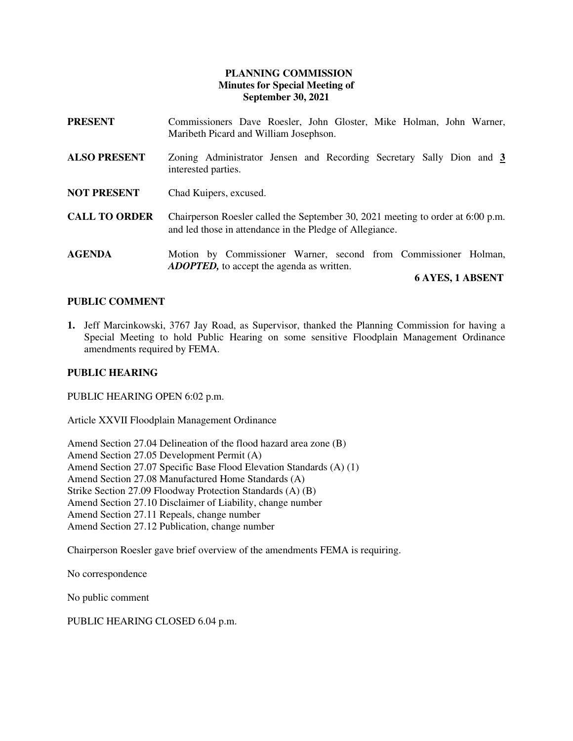# **PLANNING COMMISSION Minutes for Special Meeting of September 30, 2021**

| <b>PRESENT</b>       | Commissioners Dave Roesler, John Gloster, Mike Holman, John Warner,<br>Maribeth Picard and William Josephson.                               |
|----------------------|---------------------------------------------------------------------------------------------------------------------------------------------|
| <b>ALSO PRESENT</b>  | Zoning Administrator Jensen and Recording Secretary Sally Dion and 3<br>interested parties.                                                 |
| <b>NOT PRESENT</b>   | Chad Kuipers, excused.                                                                                                                      |
| <b>CALL TO ORDER</b> | Chairperson Roesler called the September 30, 2021 meeting to order at 6:00 p.m.<br>and led those in attendance in the Pledge of Allegiance. |
| <b>AGENDA</b>        | Motion by Commissioner Warner, second from Commissioner Holman,<br><b>ADOPTED</b> , to accept the agenda as written.                        |

### **6 AYES, 1 ABSENT**

### **PUBLIC COMMENT**

**1.** Jeff Marcinkowski, 3767 Jay Road, as Supervisor, thanked the Planning Commission for having a Special Meeting to hold Public Hearing on some sensitive Floodplain Management Ordinance amendments required by FEMA.

### **PUBLIC HEARING**

PUBLIC HEARING OPEN 6:02 p.m.

Article XXVII Floodplain Management Ordinance

Amend Section 27.04 Delineation of the flood hazard area zone (B) Amend Section 27.05 Development Permit (A) Amend Section 27.07 Specific Base Flood Elevation Standards (A) (1) Amend Section 27.08 Manufactured Home Standards (A) Strike Section 27.09 Floodway Protection Standards (A) (B) Amend Section 27.10 Disclaimer of Liability, change number Amend Section 27.11 Repeals, change number Amend Section 27.12 Publication, change number

Chairperson Roesler gave brief overview of the amendments FEMA is requiring.

No correspondence

No public comment

PUBLIC HEARING CLOSED 6.04 p.m.